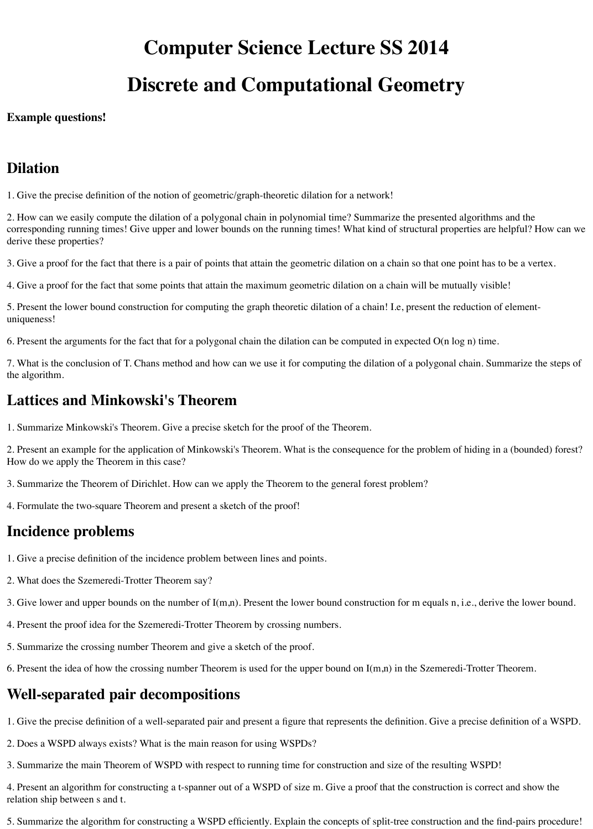# **Computer Science Lecture SS 2014**

# **Discrete and Computational Geometry**

#### **Example questions!**

#### **Dilation**

1. Give the precise definition of the notion of geometric/graph-theoretic dilation for a network!

2. How can we easily compute the dilation of a polygonal chain in polynomial time? Summarize the presented algorithms and the corresponding running times! Give upper and lower bounds on the running times! What kind of structural properties are helpful? How can we derive these properties?

3. Give a proof for the fact that there is a pair of points that attain the geometric dilation on a chain so that one point has to be a vertex.

4. Give a proof for the fact that some points that attain the maximum geometric dilation on a chain will be mutually visible!

5. Present the lower bound construction for computing the graph theoretic dilation of a chain! I.e, present the reduction of elementuniqueness!

6. Present the arguments for the fact that for a polygonal chain the dilation can be computed in expected O(n log n) time.

7. What is the conclusion of T. Chans method and how can we use it for computing the dilation of a polygonal chain. Summarize the steps of the algorithm.

#### **Lattices and Minkowski's Theorem**

1. Summarize Minkowski's Theorem. Give a precise sketch for the proof of the Theorem.

2. Present an example for the application of Minkowski's Theorem. What is the consequence for the problem of hiding in a (bounded) forest? How do we apply the Theorem in this case?

- 3. Summarize the Theorem of Dirichlet. How can we apply the Theorem to the general forest problem?
- 4. Formulate the two-square Theorem and present a sketch of the proof!

#### **Incidence problems**

- 1. Give a precise definition of the incidence problem between lines and points.
- 2. What does the Szemeredi-Trotter Theorem say?
- 3. Give lower and upper bounds on the number of I(m,n). Present the lower bound construction for m equals n, i.e., derive the lower bound.
- 4. Present the proof idea for the Szemeredi-Trotter Theorem by crossing numbers.
- 5. Summarize the crossing number Theorem and give a sketch of the proof.
- 6. Present the idea of how the crossing number Theorem is used for the upper bound on I(m,n) in the Szemeredi-Trotter Theorem.

### **Well-separated pair decompositions**

1. Give the precise definition of a well-separated pair and present a figure that represents the definition. Give a precise definition of a WSPD.

- 2. Does a WSPD always exists? What is the main reason for using WSPDs?
- 3. Summarize the main Theorem of WSPD with respect to running time for construction and size of the resulting WSPD!

4. Present an algorithm for constructing a t-spanner out of a WSPD of size m. Give a proof that the construction is correct and show the relation ship between s and t.

5. Summarize the algorithm for constructing a WSPD efficiently. Explain the concepts of split-tree construction and the find-pairs procedure!